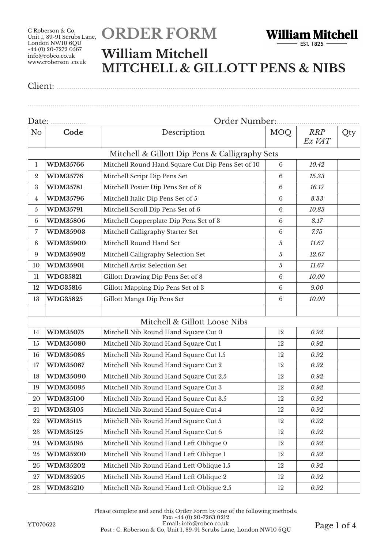# **ORDER FORM**



#### **William Mitchell MITCHELL & GILLOTT PENS & NIBS**

Client: ..................................................................................................................................................

................................................................................................................................................................

| Date:            |                 | Order Number:                                     |                 |                      |     |  |
|------------------|-----------------|---------------------------------------------------|-----------------|----------------------|-----|--|
| N <sub>o</sub>   | Code            | Description                                       | <b>MOQ</b>      | <b>RRP</b><br>Ex VAT | Qty |  |
|                  |                 | Mitchell & Gillott Dip Pens & Calligraphy Sets    |                 |                      |     |  |
| 1                | <b>WDM35766</b> | Mitchell Round Hand Square Cut Dip Pens Set of 10 | 6               | 10.42                |     |  |
| $\boldsymbol{2}$ | <b>WDM35776</b> | Mitchell Script Dip Pens Set                      | 6               | 15.33                |     |  |
| 3                | <b>WDM35781</b> | Mitchell Poster Dip Pens Set of 8                 | $6\phantom{1}6$ | 16.17                |     |  |
| 4                | <b>WDM35796</b> | Mitchell Italic Dip Pens Set of 5                 | $6\phantom{1}6$ | 8.33                 |     |  |
| 5                | <b>WDM35791</b> | Mitchell Scroll Dip Pens Set of 6                 | $6\phantom{1}6$ | 10.83                |     |  |
| 6                | <b>WDM35806</b> | Mitchell Copperplate Dip Pens Set of 3            | $6\phantom{1}6$ | 8.17                 |     |  |
| 7                | <b>WDM35903</b> | Mitchell Calligraphy Starter Set                  | 6               | 7.75                 |     |  |
| $\,8\,$          | <b>WDM35900</b> | Mitchell Round Hand Set                           | 5               | 11.67                |     |  |
| 9                | <b>WDM35902</b> | Mitchell Calligraphy Selection Set                | 5               | 12.67                |     |  |
| 10               | <b>WDM35901</b> | Mitchell Artist Selection Set                     | $\sqrt{5}$      | 11.67                |     |  |
| 11               | <b>WDG35821</b> | Gillott Drawing Dip Pens Set of 8                 | $6\phantom{1}6$ | 10.00                |     |  |
| 12               | <b>WDG35816</b> | Gillott Mapping Dip Pens Set of 3                 | $6\phantom{1}6$ | 9.00                 |     |  |
| 13               | <b>WDG35825</b> | Gillott Manga Dip Pens Set                        | $6\phantom{1}6$ | 10.00                |     |  |
|                  |                 |                                                   |                 |                      |     |  |
|                  |                 | Mitchell & Gillott Loose Nibs                     |                 |                      |     |  |
| 14               | <b>WDM35075</b> | Mitchell Nib Round Hand Square Cut 0              | 12              | 0.92                 |     |  |
| 15               | <b>WDM35080</b> | Mitchell Nib Round Hand Square Cut 1              | 12              | 0.92                 |     |  |
| 16               | <b>WDM35085</b> | Mitchell Nib Round Hand Square Cut 1.5            | 12              | 0.92                 |     |  |
| 17               | <b>WDM35087</b> | Mitchell Nib Round Hand Square Cut 2              | 12              | 0.92                 |     |  |
| 18               | <b>WDM35090</b> | Mitchell Nib Round Hand Square Cut 2.5            | 12              | 0.92                 |     |  |
| 19               | <b>WDM35095</b> | Mitchell Nib Round Hand Square Cut 3              | 12              | 0.92                 |     |  |
| 20               | <b>WDM35100</b> | Mitchell Nib Round Hand Square Cut 3.5            | 12              | 0.92                 |     |  |
| 21               | <b>WDM35105</b> | Mitchell Nib Round Hand Square Cut 4              | $12\,$          | 0.92                 |     |  |
| 22               | <b>WDM35115</b> | Mitchell Nib Round Hand Square Cut 5              | 12              | 0.92                 |     |  |
| 23               | <b>WDM35125</b> | Mitchell Nib Round Hand Square Cut 6              | 12              | 0.92                 |     |  |
| 24               | <b>WDM35195</b> | Mitchell Nib Round Hand Left Oblique 0            | 12              | 0.92                 |     |  |
| 25               | <b>WDM35200</b> | Mitchell Nib Round Hand Left Oblique 1            | 12              | 0.92                 |     |  |
| 26               | <b>WDM35202</b> | Mitchell Nib Round Hand Left Oblique 1.5          | 12              | 0.92                 |     |  |
| 27               | <b>WDM35205</b> | Mitchell Nib Round Hand Left Oblique 2            | 12              | 0.92                 |     |  |
| 28               | <b>WDM35210</b> | Mitchell Nib Round Hand Left Oblique 2.5          | 12              | 0.92                 |     |  |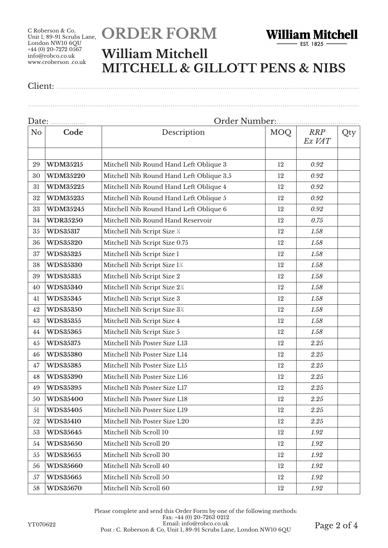# **ORDER FORM**



#### **William Mitchell MITCHELL & GILLOTT PENS & NIBS**

................................................................................................................................................................

Client: ..................................................................................................................................................

| N <sub>o</sub> | Code            | Description                              | <b>MOQ</b> | <b>RRP</b><br>Ex VAT | Qty |  |
|----------------|-----------------|------------------------------------------|------------|----------------------|-----|--|
|                |                 |                                          |            |                      |     |  |
| 29             | <b>WDM35215</b> | Mitchell Nib Round Hand Left Oblique 3   | 12         | 0.92                 |     |  |
| 30             | <b>WDM35220</b> | Mitchell Nib Round Hand Left Oblique 3.5 | 12         | 0.92                 |     |  |
| 31             | <b>WDM35225</b> | Mitchell Nib Round Hand Left Oblique 4   | 12         | 0.92                 |     |  |
| 32             | <b>WDM35235</b> | Mitchell Nib Round Hand Left Oblique 5   | 12         | 0.92                 |     |  |
| 33             | <b>WDM35245</b> | Mitchell Nib Round Hand Left Oblique 6   | 12         | 0.92                 |     |  |
| 34             | <b>WDR35250</b> | Mitchell Nib Round Hand Reservoir        | 12         | 0.75                 |     |  |
| 35             | <b>WDS35317</b> | Mitchell Nib Script Size 1/2             | 12         | 1.58                 |     |  |
| 36             | <b>WDS35320</b> | Mitchell Nib Script Size 0.75            | 12         | 1.58                 |     |  |
| 37             | <b>WDS35325</b> | Mitchell Nib Script Size 1               | 12         | 1.58                 |     |  |
| 38             | <b>WDS35330</b> | Mitchell Nib Script Size 1½              | 12         | 1.58                 |     |  |
| 39             | <b>WDS35335</b> | Mitchell Nib Script Size 2               | 12         | 1.58                 |     |  |
| 40             | <b>WDS35340</b> | Mitchell Nib Script Size 2½              | 12         | 1.58                 |     |  |
| 41             | <b>WDS35345</b> | Mitchell Nib Script Size 3               | 12         | 1.58                 |     |  |
| 42             | <b>WDS35350</b> | Mitchell Nib Script Size 3½              | 12         | 1.58                 |     |  |
| 43             | <b>WDS35355</b> | Mitchell Nib Script Size 4               | 12         | 1.58                 |     |  |
| 44             | <b>WDS35365</b> | Mitchell Nib Script Size 5               | 12         | 1.58                 |     |  |
| 45             | <b>WDS35375</b> | Mitchell Nib Poster Size L13             | 12         | 2.25                 |     |  |
| 46             | <b>WDS35380</b> | Mitchell Nib Poster Size L14             | 12         | 2.25                 |     |  |
| 47             | <b>WDS35385</b> | Mitchell Nib Poster Size L15             | 12         | 2.25                 |     |  |
| 48             | <b>WDS35390</b> | Mitchell Nib Poster Size L16             | 12         | 2.25                 |     |  |
| 49             | <b>WDS35395</b> | Mitchell Nib Poster Size L17             | 12         | $2.25\,$             |     |  |
| 50             | <b>WDS35400</b> | Mitchell Nib Poster Size L18             | 12         | 2.25                 |     |  |
| 51             | <b>WDS35405</b> | Mitchell Nib Poster Size L19             | 12         | 2.25                 |     |  |
| 52             | <b>WDS35410</b> | Mitchell Nib Poster Size L20             | 12         | 2.25                 |     |  |
| 53             | <b>WDS35645</b> | Mitchell Nib Scroll 10                   | 12         | 1.92                 |     |  |
| 54             | <b>WDS35650</b> | Mitchell Nib Scroll 20                   | 12         | 1.92                 |     |  |
| 55             | <b>WDS35655</b> | Mitchell Nib Scroll 30                   | 12         | 1.92                 |     |  |
| 56             | <b>WDS35660</b> | Mitchell Nib Scroll 40                   | 12         | 1.92                 |     |  |
| 57             | <b>WDS35665</b> | Mitchell Nib Scroll 50                   | 12         | 1.92                 |     |  |
| 58             | <b>WDS35670</b> | Mitchell Nib Scroll 60                   | 12         | 1.92                 |     |  |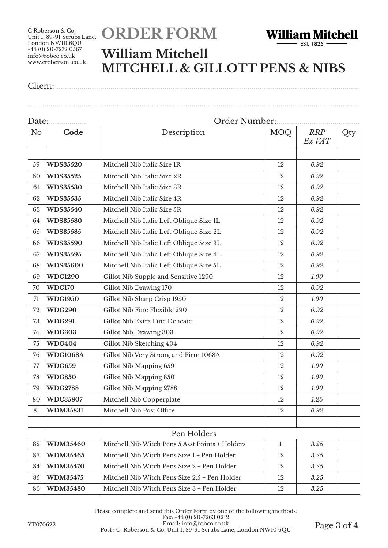# **ORDER FORM**



#### **William Mitchell MITCHELL & GILLOTT PENS & NIBS**

Client: ..................................................................................................................................................

................................................................................................................................................................

| No | Code            | Description                                     | MOQ          | <b>RRP</b><br>Ex VAT | Qty |  |
|----|-----------------|-------------------------------------------------|--------------|----------------------|-----|--|
|    |                 |                                                 |              |                      |     |  |
| 59 | <b>WDS35520</b> | Mitchell Nib Italic Size 1R                     | 12           | 0.92                 |     |  |
| 60 | <b>WDS35525</b> | Mitchell Nib Italic Size 2R                     | 12           | 0.92                 |     |  |
| 61 | <b>WDS35530</b> | Mitchell Nib Italic Size 3R                     | 12           | 0.92                 |     |  |
| 62 | <b>WDS35535</b> | Mitchell Nib Italic Size 4R                     | 12           | 0.92                 |     |  |
| 63 | <b>WDS35540</b> | Mitchell Nib Italic Size 5R                     | 12           | 0.92                 |     |  |
| 64 | <b>WDS35580</b> | Mitchell Nib Italic Left Oblique Size 1L        | 12           | 0.92                 |     |  |
| 65 | <b>WDS35585</b> | Mitchell Nib Italic Left Oblique Size 2L        | 12           | 0.92                 |     |  |
| 66 | <b>WDS35590</b> | Mitchell Nib Italic Left Oblique Size 3L        | 12           | 0.92                 |     |  |
| 67 | <b>WDS35595</b> | Mitchell Nib Italic Left Oblique Size 4L        | 12           | 0.92                 |     |  |
| 68 | <b>WDS35600</b> | Mitchell Nib Italic Left Oblique Size 5L        | 12           | 0.92                 |     |  |
| 69 | <b>WDG1290</b>  | Gillot Nib Supple and Sensitive 1290            | 12           | 1.00                 |     |  |
| 70 | <b>WDG170</b>   | Gillot Nib Drawing 170                          | 12           | 0.92                 |     |  |
| 71 | <b>WDG1950</b>  | Gillot Nib Sharp Crisp 1950                     | 12           | 1.00                 |     |  |
| 72 | <b>WDG290</b>   | Gillot Nib Fine Flexible 290                    | 12           | 0.92                 |     |  |
| 73 | <b>WDG291</b>   | Gillot Nib Extra Fine Delicate                  | 12           | 0.92                 |     |  |
| 74 | <b>WDG303</b>   | Gillot Nib Drawing 303                          | 12           | 0.92                 |     |  |
| 75 | <b>WDG404</b>   | Gillot Nib Sketching 404                        | 12           | 0.92                 |     |  |
| 76 | <b>WDG1068A</b> | Gillot Nib Very Strong and Firm 1068A           | 12           | 0.92                 |     |  |
| 77 | <b>WDG659</b>   | Gillot Nib Mapping 659                          | 12           | 1.00                 |     |  |
| 78 | <b>WDG850</b>   | Gillot Nib Mapping 850                          | 12           | 1.00                 |     |  |
| 79 | <b>WDG2788</b>  | Gillot Nib Mapping 2788                         | 12           | 1.00                 |     |  |
| 80 | <b>WDC35807</b> | Mitchell Nib Copperplate                        | 12           | 1.25                 |     |  |
| 81 | <b>WDM35831</b> | Mitchell Nib Post Office                        | 12           | 0.92                 |     |  |
|    |                 |                                                 |              |                      |     |  |
|    |                 | Pen Holders                                     |              |                      |     |  |
| 82 | <b>WDM35460</b> | Mitchell Nib Witch Pens 5 Asst Points + Holders | $\mathbf{1}$ | 3.25                 |     |  |
| 83 | <b>WDM35465</b> | Mitchell Nib Witch Pens Size 1 + Pen Holder     | 12           | 3.25                 |     |  |
| 84 | <b>WDM35470</b> | Mitchell Nib Witch Pens Size 2 + Pen Holder     | 12           | 3.25                 |     |  |
| 85 | <b>WDM35475</b> | Mitchell Nib Witch Pens Size 2.5 + Pen Holder   | 12           | 3.25                 |     |  |
| 86 | <b>WDM35480</b> | Mitchell Nib Witch Pens Size 3 + Pen Holder     | 12           | 3.25                 |     |  |

YT070622